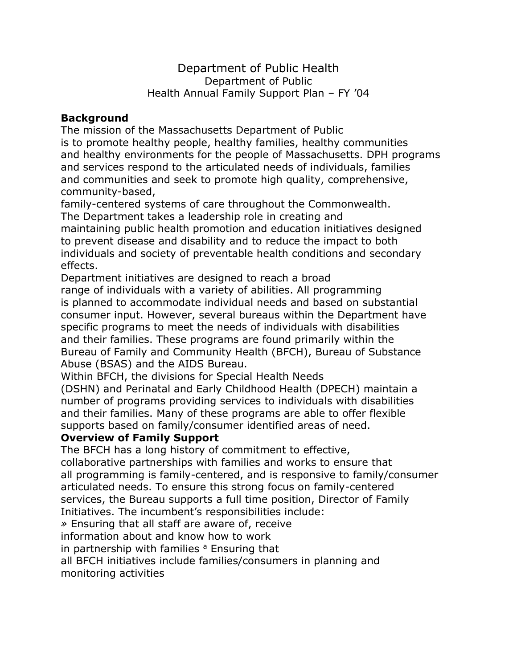Department of Public Health Department of Public Health Annual Family Support Plan – FY '04

### **Background**

The mission of the Massachusetts Department of Public is to promote healthy people, healthy families, healthy communities and healthy environments for the people of Massachusetts. DPH programs and services respond to the articulated needs of individuals, families and communities and seek to promote high quality, comprehensive, community-based,

family-centered systems of care throughout the Commonwealth. The Department takes a leadership role in creating and maintaining public health promotion and education initiatives designed to prevent disease and disability and to reduce the impact to both individuals and society of preventable health conditions and secondary effects.

Department initiatives are designed to reach a broad

range of individuals with a variety of abilities. All programming is planned to accommodate individual needs and based on substantial consumer input. However, several bureaus within the Department have specific programs to meet the needs of individuals with disabilities and their families. These programs are found primarily within the Bureau of Family and Community Health (BFCH), Bureau of Substance Abuse (BSAS) and the AIDS Bureau.

Within BFCH, the divisions for Special Health Needs

(DSHN) and Perinatal and Early Childhood Health (DPECH) maintain a number of programs providing services to individuals with disabilities and their families. Many of these programs are able to offer flexible supports based on family/consumer identified areas of need.

### **Overview of Family Support**

The BFCH has a long history of commitment to effective,

collaborative partnerships with families and works to ensure that all programming is family-centered, and is responsive to family/consumer articulated needs. To ensure this strong focus on family-centered services, the Bureau supports a full time position, Director of Family

Initiatives. The incumbent's responsibilities include:

*»* Ensuring that all staff are aware of, receive

information about and know how to work

in partnership with families  $a$  Ensuring that

all BFCH initiatives include families/consumers in planning and monitoring activities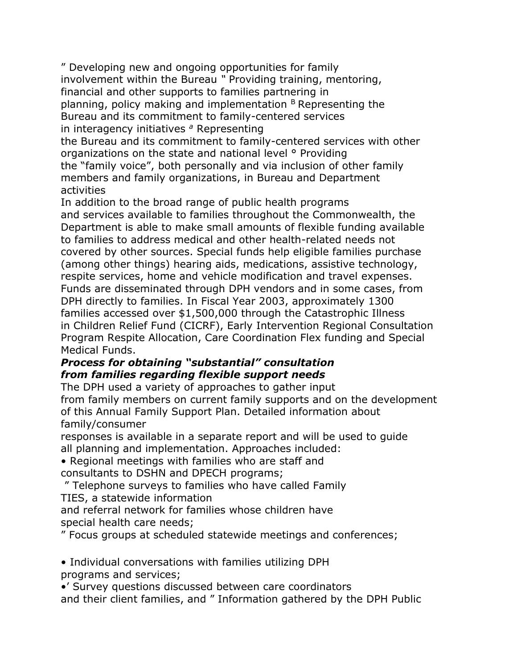" Developing new and ongoing opportunities for family involvement within the Bureau *"* Providing training, mentoring, financial and other supports to families partnering in planning, policy making and implementation  $B$  Representing the Bureau and its commitment to family-centered services in interagency initiatives *<sup>a</sup>* Representing

the Bureau and its commitment to family-centered services with other organizations on the state and national level ° Providing the "family voice", both personally and via inclusion of other family members and family organizations, in Bureau and Department activities

In addition to the broad range of public health programs and services available to families throughout the Commonwealth, the Department is able to make small amounts of flexible funding available to families to address medical and other health-related needs not covered by other sources. Special funds help eligible families purchase (among other things) hearing aids, medications, assistive technology, respite services, home and vehicle modification and travel expenses. Funds are disseminated through DPH vendors and in some cases, from DPH directly to families. In Fiscal Year 2003, approximately 1300 families accessed over \$1,500,000 through the Catastrophic Illness in Children Relief Fund (CICRF), Early Intervention Regional Consultation Program Respite Allocation, Care Coordination Flex funding and Special Medical Funds.

## *Process for obtaining "substantial" consultation from families regarding flexible support needs*

The DPH used a variety of approaches to gather input from family members on current family supports and on the development of this Annual Family Support Plan. Detailed information about family/consumer

responses is available in a separate report and will be used to guide all planning and implementation. Approaches included:

• Regional meetings with families who are staff and consultants to DSHN and DPECH programs;

" Telephone surveys to families who have called Family

TIES, a statewide information

and referral network for families whose children have special health care needs;

" Focus groups at scheduled statewide meetings and conferences;

• Individual conversations with families utilizing DPH programs and services;

•' Survey questions discussed between care coordinators and their client families, and " Information gathered by the DPH Public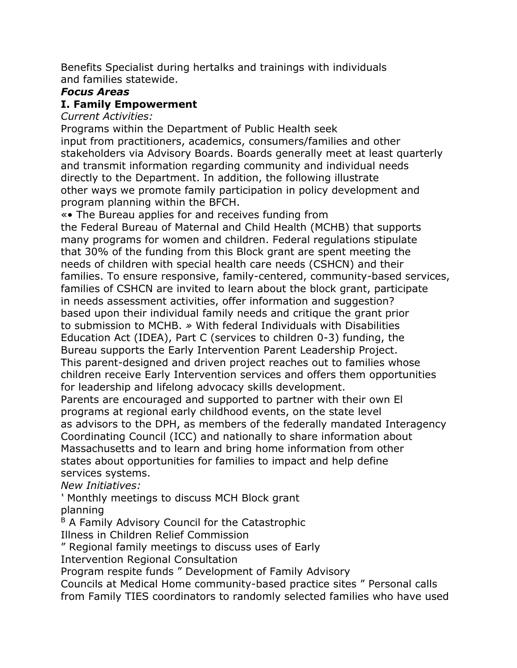Benefits Specialist during hertalks and trainings with individuals and families statewide.

### *Focus Areas*

### **I. Family Empowerment**

#### *Current Activities:*

Programs within the Department of Public Health seek input from practitioners, academics, consumers/families and other stakeholders via Advisory Boards. Boards generally meet at least quarterly and transmit information regarding community and individual needs directly to the Department. In addition, the following illustrate other ways we promote family participation in policy development and program planning within the BFCH.

«• The Bureau applies for and receives funding from the Federal Bureau of Maternal and Child Health (MCHB) that supports many programs for women and children. Federal regulations stipulate that 30% of the funding from this Block grant are spent meeting the needs of children with special health care needs (CSHCN) and their families. To ensure responsive, family-centered, community-based services, families of CSHCN are invited to learn about the block grant, participate in needs assessment activities, offer information and suggestion? based upon their individual family needs and critique the grant prior to submission to MCHB. *»* With federal Individuals with Disabilities Education Act (IDEA), Part C (services to children 0-3) funding, the Bureau supports the Early Intervention Parent Leadership Project. This parent-designed and driven project reaches out to families whose children receive Early Intervention services and offers them opportunities for leadership and lifelong advocacy skills development. Parents are encouraged and supported to partner with their own El programs at regional early childhood events, on the state level as advisors to the DPH, as members of the federally mandated Interagency Coordinating Council (ICC) and nationally to share information about Massachusetts and to learn and bring home information from other states about opportunities for families to impact and help define services systems.

*New Initiatives:*

*'* Monthly meetings to discuss MCH Block grant planning

B A Family Advisory Council for the Catastrophic

Illness in Children Relief Commission

" Regional family meetings to discuss uses of Early

Intervention Regional Consultation

Program respite funds " Development of Family Advisory

Councils at Medical Home community-based practice sites " Personal calls from Family TIES coordinators to randomly selected families who have used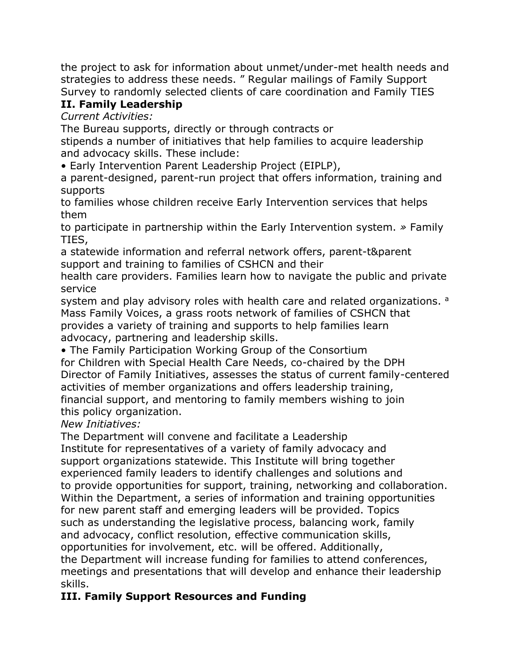the project to ask for information about unmet/under-met health needs and strategies to address these needs. " Regular mailings of Family Support Survey to randomly selected clients of care coordination and Family TIES

# **II. Family Leadership**

*Current Activities:*

The Bureau supports, directly or through contracts or

stipends a number of initiatives that help families to acquire leadership and advocacy skills. These include:

• Early Intervention Parent Leadership Project (EIPLP),

a parent-designed, parent-run project that offers information, training and supports

to families whose children receive Early Intervention services that helps them

to participate in partnership within the Early Intervention system. *»* Family TIES,

a statewide information and referral network offers, parent-t&parent support and training to families of CSHCN and their

health care providers. Families learn how to navigate the public and private service

system and play advisory roles with health care and related organizations. a Mass Family Voices, a grass roots network of families of CSHCN that provides a variety of training and supports to help families learn advocacy, partnering and leadership skills.

• The Family Participation Working Group of the Consortium for Children with Special Health Care Needs, co-chaired by the DPH Director of Family Initiatives, assesses the status of current family-centered activities of member organizations and offers leadership training, financial support, and mentoring to family members wishing to join this policy organization.

### *New Initiatives:*

The Department will convene and facilitate a Leadership Institute for representatives of a variety of family advocacy and support organizations statewide. This Institute will bring together experienced family leaders to identify challenges and solutions and to provide opportunities for support, training, networking and collaboration. Within the Department, a series of information and training opportunities for new parent staff and emerging leaders will be provided. Topics such as understanding the legislative process, balancing work, family and advocacy, conflict resolution, effective communication skills, opportunities for involvement, etc. will be offered. Additionally, the Department will increase funding for families to attend conferences, meetings and presentations that will develop and enhance their leadership skills.

# **III. Family Support Resources and Funding**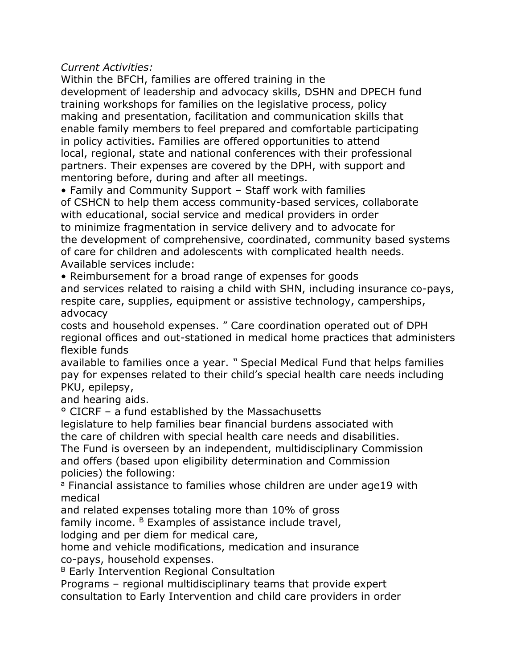*Current Activities:*

Within the BFCH, families are offered training in the development of leadership and advocacy skills, DSHN and DPECH fund training workshops for families on the legislative process, policy making and presentation, facilitation and communication skills that enable family members to feel prepared and comfortable participating in policy activities. Families are offered opportunities to attend local, regional, state and national conferences with their professional partners. Their expenses are covered by the DPH, with support and mentoring before, during and after all meetings.

• Family and Community Support – Staff work with families of CSHCN to help them access community-based services, collaborate with educational, social service and medical providers in order to minimize fragmentation in service delivery and to advocate for the development of comprehensive, coordinated, community based systems of care for children and adolescents with complicated health needs. Available services include:

• Reimbursement for a broad range of expenses for goods and services related to raising a child with SHN, including insurance co-pays, respite care, supplies, equipment or assistive technology, camperships, advocacy

costs and household expenses. " Care coordination operated out of DPH regional offices and out-stationed in medical home practices that administers flexible funds

available to families once a year. *"* Special Medical Fund that helps families pay for expenses related to their child's special health care needs including PKU, epilepsy,

and hearing aids.

° CICRF – a fund established by the Massachusetts

legislature to help families bear financial burdens associated with the care of children with special health care needs and disabilities.

The Fund is overseen by an independent, multidisciplinary Commission and offers (based upon eligibility determination and Commission policies) the following:

<sup>a</sup> Financial assistance to families whose children are under age19 with medical

and related expenses totaling more than 10% of gross

family income.  $B$  Examples of assistance include travel,

lodging and per diem for medical care,

home and vehicle modifications, medication and insurance co-pays, household expenses.

B Early Intervention Regional Consultation

Programs – regional multidisciplinary teams that provide expert consultation to Early Intervention and child care providers in order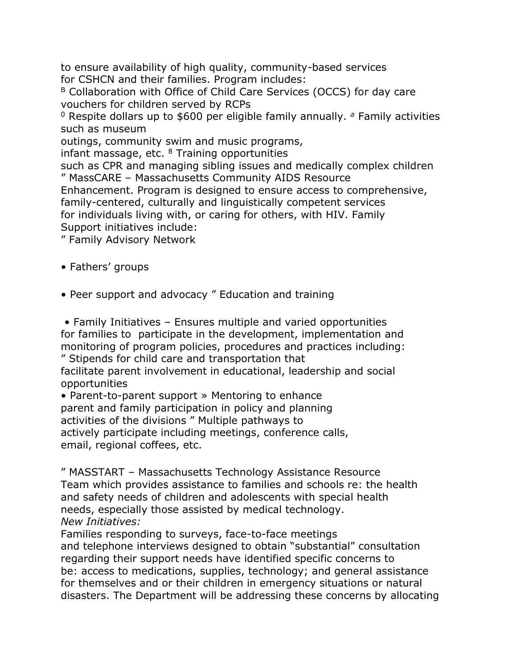to ensure availability of high quality, community-based services for CSHCN and their families. Program includes:

B Collaboration with Office of Child Care Services (OCCS) for day care vouchers for children served by RCPs

<sup>0</sup> Respite dollars up to \$600 per eligible family annually. *<sup>a</sup>* Family activities such as museum

outings, community swim and music programs,

infant massage, etc.  $8$  Training opportunities

such as CPR and managing sibling issues and medically complex children " MassCARE – Massachusetts Community AIDS Resource

Enhancement. Program is designed to ensure access to comprehensive, family-centered, culturally and linguistically competent services for individuals living with, or caring for others, with HIV. Family Support initiatives include:

" Family Advisory Network

• Fathers' groups

• Peer support and advocacy " Education and training

• Family Initiatives – Ensures multiple and varied opportunities for families to participate in the development, implementation and monitoring of program policies, procedures and practices including: " Stipends for child care and transportation that

facilitate parent involvement in educational, leadership and social opportunities

• Parent-to-parent support » Mentoring to enhance parent and family participation in policy and planning activities of the divisions " Multiple pathways to actively participate including meetings, conference calls, email, regional coffees, etc.

" MASSTART – Massachusetts Technology Assistance Resource Team which provides assistance to families and schools re: the health and safety needs of children and adolescents with special health needs, especially those assisted by medical technology. *New Initiatives:*

Families responding to surveys, face-to-face meetings and telephone interviews designed to obtain "substantial" consultation regarding their support needs have identified specific concerns to be: access to medications, supplies, technology; and general assistance for themselves and or their children in emergency situations or natural disasters. The Department will be addressing these concerns by allocating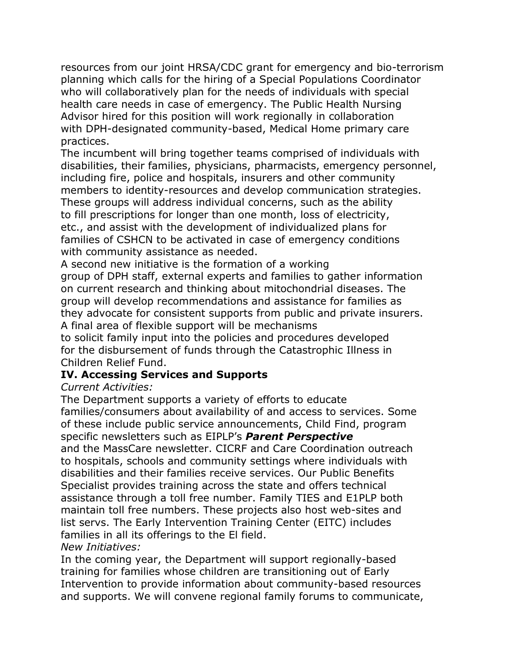resources from our joint HRSA/CDC grant for emergency and bio-terrorism planning which calls for the hiring of a Special Populations Coordinator who will collaboratively plan for the needs of individuals with special health care needs in case of emergency. The Public Health Nursing Advisor hired for this position will work regionally in collaboration with DPH-designated community-based, Medical Home primary care practices.

The incumbent will bring together teams comprised of individuals with disabilities, their families, physicians, pharmacists, emergency personnel, including fire, police and hospitals, insurers and other community members to identity-resources and develop communication strategies. These groups will address individual concerns, such as the ability to fill prescriptions for longer than one month, loss of electricity, etc., and assist with the development of individualized plans for families of CSHCN to be activated in case of emergency conditions with community assistance as needed.

A second new initiative is the formation of a working group of DPH staff, external experts and families to gather information on current research and thinking about mitochondrial diseases. The group will develop recommendations and assistance for families as they advocate for consistent supports from public and private insurers. A final area of flexible support will be mechanisms to solicit family input into the policies and procedures developed

for the disbursement of funds through the Catastrophic Illness in Children Relief Fund.

### **IV. Accessing Services and Supports**

### *Current Activities:*

The Department supports a variety of efforts to educate families/consumers about availability of and access to services. Some of these include public service announcements, Child Find, program specific newsletters such as EIPLP's *Parent Perspective* and the MassCare newsletter. CICRF and Care Coordination outreach to hospitals, schools and community settings where individuals with disabilities and their families receive services. Our Public Benefits Specialist provides training across the state and offers technical assistance through a toll free number. Family TIES and E1PLP both maintain toll free numbers. These projects also host web-sites and list servs. The Early Intervention Training Center (EITC) includes families in all its offerings to the El field.

### *New Initiatives:*

In the coming year, the Department will support regionally-based training for families whose children are transitioning out of Early Intervention to provide information about community-based resources and supports. We will convene regional family forums to communicate,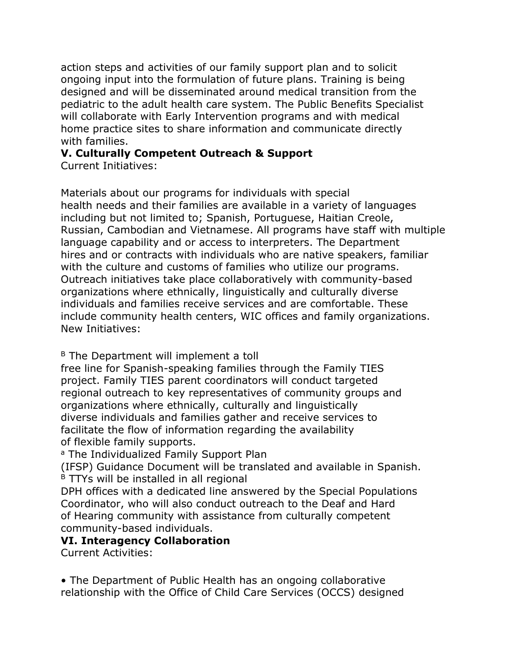action steps and activities of our family support plan and to solicit ongoing input into the formulation of future plans. Training is being designed and will be disseminated around medical transition from the pediatric to the adult health care system. The Public Benefits Specialist will collaborate with Early Intervention programs and with medical home practice sites to share information and communicate directly with families.

## **V. Culturally Competent Outreach & Support**

Current Initiatives:

Materials about our programs for individuals with special health needs and their families are available in a variety of languages including but not limited to; Spanish, Portuguese, Haitian Creole, Russian, Cambodian and Vietnamese. All programs have staff with multiple language capability and or access to interpreters. The Department hires and or contracts with individuals who are native speakers, familiar with the culture and customs of families who utilize our programs. Outreach initiatives take place collaboratively with community-based organizations where ethnically, linguistically and culturally diverse individuals and families receive services and are comfortable. These include community health centers, WIC offices and family organizations. New Initiatives:

<sup>B</sup> The Department will implement a toll

free line for Spanish-speaking families through the Family TIES project. Family TIES parent coordinators will conduct targeted regional outreach to key representatives of community groups and organizations where ethnically, culturally and linguistically diverse individuals and families gather and receive services to facilitate the flow of information regarding the availability of flexible family supports.

a The Individualized Family Support Plan

(IFSP) Guidance Document will be translated and available in Spanish.  $B$  TTYs will be installed in all regional

DPH offices with a dedicated line answered by the Special Populations Coordinator, who will also conduct outreach to the Deaf and Hard of Hearing community with assistance from culturally competent community-based individuals.

#### **VI. Interagency Collaboration**

Current Activities:

• The Department of Public Health has an ongoing collaborative relationship with the Office of Child Care Services (OCCS) designed